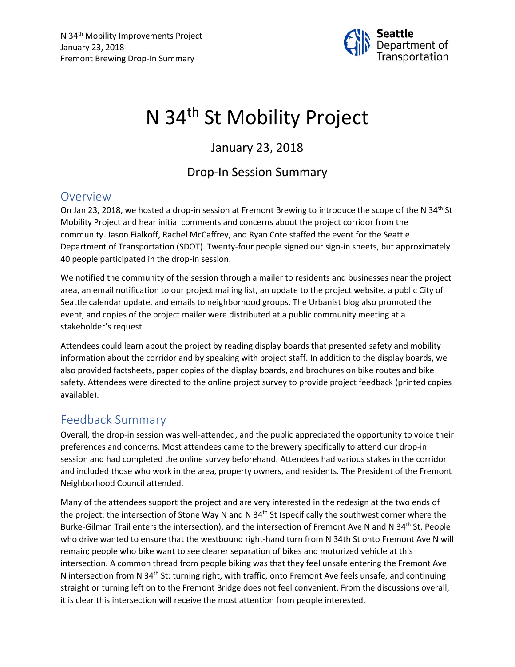

# N 34<sup>th</sup> St Mobility Project

## January 23, 2018

### Drop-In Session Summary

#### **Overview**

On Jan 23, 2018, we hosted a drop-in session at Fremont Brewing to introduce the scope of the N 34<sup>th</sup> St Mobility Project and hear initial comments and concerns about the project corridor from the community. Jason Fialkoff, Rachel McCaffrey, and Ryan Cote staffed the event for the Seattle Department of Transportation (SDOT). Twenty-four people signed our sign-in sheets, but approximately 40 people participated in the drop-in session.

We notified the community of the session through a mailer to residents and businesses near the project area, an email notification to our project mailing list, an update to the project website, a public City of Seattle calendar update, and emails to neighborhood groups. The Urbanist blog also promoted the event, and copies of the project mailer were distributed at a public community meeting at a stakeholder's request.

Attendees could learn about the project by reading display boards that presented safety and mobility information about the corridor and by speaking with project staff. In addition to the display boards, we also provided factsheets, paper copies of the display boards, and brochures on bike routes and bike safety. Attendees were directed to the online project survey to provide project feedback (printed copies available).

#### Feedback Summary

Overall, the drop-in session was well-attended, and the public appreciated the opportunity to voice their preferences and concerns. Most attendees came to the brewery specifically to attend our drop-in session and had completed the online survey beforehand. Attendees had various stakes in the corridor and included those who work in the area, property owners, and residents. The President of the Fremont Neighborhood Council attended.

Many of the attendees support the project and are very interested in the redesign at the two ends of the project: the intersection of Stone Way N and N 34<sup>th</sup> St (specifically the southwest corner where the Burke-Gilman Trail enters the intersection), and the intersection of Fremont Ave N and N 34<sup>th</sup> St. People who drive wanted to ensure that the westbound right-hand turn from N 34th St onto Fremont Ave N will remain; people who bike want to see clearer separation of bikes and motorized vehicle at this intersection. A common thread from people biking was that they feel unsafe entering the Fremont Ave N intersection from N 34<sup>th</sup> St: turning right, with traffic, onto Fremont Ave feels unsafe, and continuing straight or turning left on to the Fremont Bridge does not feel convenient. From the discussions overall, it is clear this intersection will receive the most attention from people interested.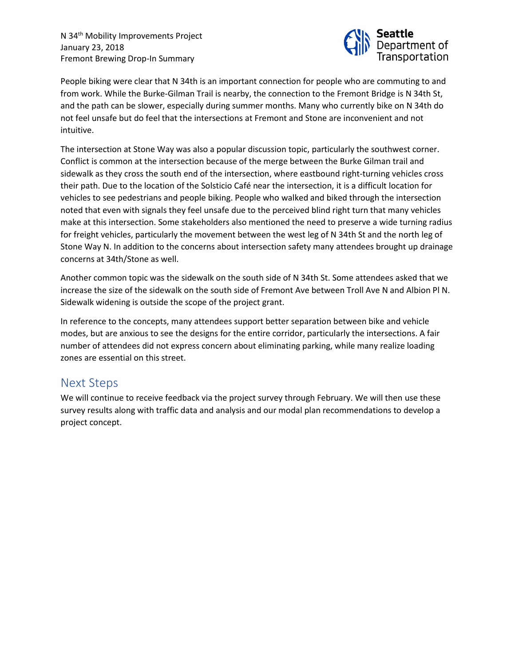N 34<sup>th</sup> Mobility Improvements Project January 23, 2018 Fremont Brewing Drop-In Summary



People biking were clear that N 34th is an important connection for people who are commuting to and from work. While the Burke-Gilman Trail is nearby, the connection to the Fremont Bridge is N 34th St, and the path can be slower, especially during summer months. Many who currently bike on N 34th do not feel unsafe but do feel that the intersections at Fremont and Stone are inconvenient and not intuitive.

The intersection at Stone Way was also a popular discussion topic, particularly the southwest corner. Conflict is common at the intersection because of the merge between the Burke Gilman trail and sidewalk as they cross the south end of the intersection, where eastbound right-turning vehicles cross their path. Due to the location of the Solsticio Café near the intersection, it is a difficult location for vehicles to see pedestrians and people biking. People who walked and biked through the intersection noted that even with signals they feel unsafe due to the perceived blind right turn that many vehicles make at this intersection. Some stakeholders also mentioned the need to preserve a wide turning radius for freight vehicles, particularly the movement between the west leg of N 34th St and the north leg of Stone Way N. In addition to the concerns about intersection safety many attendees brought up drainage concerns at 34th/Stone as well.

Another common topic was the sidewalk on the south side of N 34th St. Some attendees asked that we increase the size of the sidewalk on the south side of Fremont Ave between Troll Ave N and Albion Pl N. Sidewalk widening is outside the scope of the project grant.

In reference to the concepts, many attendees support better separation between bike and vehicle modes, but are anxious to see the designs for the entire corridor, particularly the intersections. A fair number of attendees did not express concern about eliminating parking, while many realize loading zones are essential on this street.

#### Next Steps

We will continue to receive feedback via the project survey through February. We will then use these survey results along with traffic data and analysis and our modal plan recommendations to develop a project concept.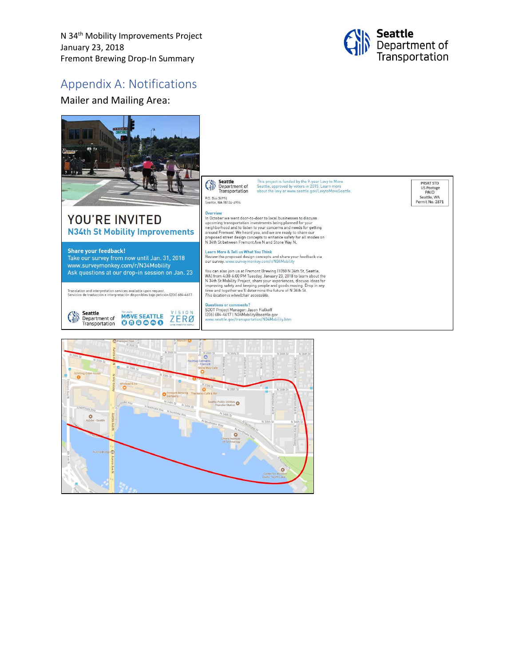N 34<sup>th</sup> Mobility Improvements Project January 23, 2018 Fremont Brewing Drop-In Summary



#### Appendix A: Notifications

Mailer and Mailing Area: